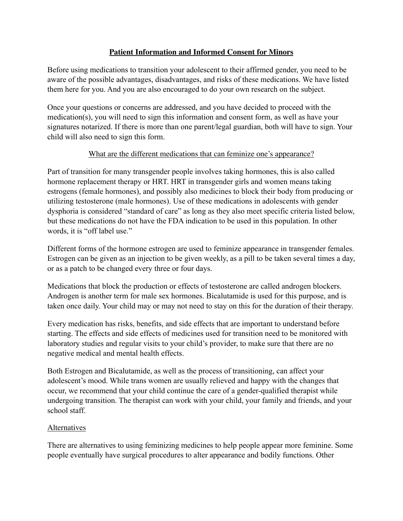## **Patient Information and Informed Consent for Minors**

Before using medications to transition your adolescent to their affirmed gender, you need to be aware of the possible advantages, disadvantages, and risks of these medications. We have listed them here for you. And you are also encouraged to do your own research on the subject.

Once your questions or concerns are addressed, and you have decided to proceed with the medication(s), you will need to sign this information and consent form, as well as have your signatures notarized. If there is more than one parent/legal guardian, both will have to sign. Your child will also need to sign this form.

## What are the different medications that can feminize one's appearance?

Part of transition for many transgender people involves taking hormones, this is also called hormone replacement therapy or HRT. HRT in transgender girls and women means taking estrogens (female hormones), and possibly also medicines to block their body from producing or utilizing testosterone (male hormones). Use of these medications in adolescents with gender dysphoria is considered "standard of care" as long as they also meet specific criteria listed below, but these medications do not have the FDA indication to be used in this population. In other words, it is "off label use."

Different forms of the hormone estrogen are used to feminize appearance in transgender females. Estrogen can be given as an injection to be given weekly, as a pill to be taken several times a day, or as a patch to be changed every three or four days.

Medications that block the production or effects of testosterone are called androgen blockers. Androgen is another term for male sex hormones. Bicalutamide is used for this purpose, and is taken once daily. Your child may or may not need to stay on this for the duration of their therapy.

Every medication has risks, benefits, and side effects that are important to understand before starting. The effects and side effects of medicines used for transition need to be monitored with laboratory studies and regular visits to your child's provider, to make sure that there are no negative medical and mental health effects.

Both Estrogen and Bicalutamide, as well as the process of transitioning, can affect your adolescent's mood. While trans women are usually relieved and happy with the changes that occur, we recommend that your child continue the care of a gender-qualified therapist while undergoing transition. The therapist can work with your child, your family and friends, and your school staff.

### Alternatives

There are alternatives to using feminizing medicines to help people appear more feminine. Some people eventually have surgical procedures to alter appearance and bodily functions. Other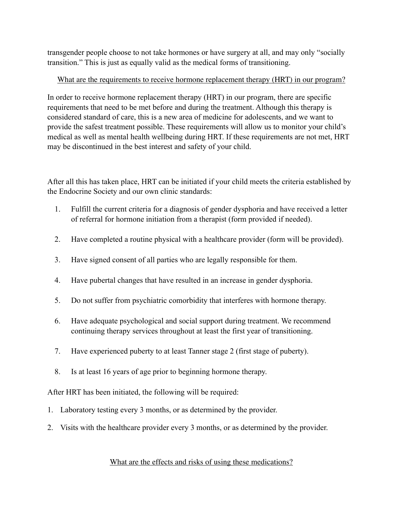transgender people choose to not take hormones or have surgery at all, and may only "socially transition." This is just as equally valid as the medical forms of transitioning.

# What are the requirements to receive hormone replacement therapy (HRT) in our program?

In order to receive hormone replacement therapy (HRT) in our program, there are specific requirements that need to be met before and during the treatment. Although this therapy is considered standard of care, this is a new area of medicine for adolescents, and we want to provide the safest treatment possible. These requirements will allow us to monitor your child's medical as well as mental health wellbeing during HRT. If these requirements are not met, HRT may be discontinued in the best interest and safety of your child.

After all this has taken place, HRT can be initiated if your child meets the criteria established by the Endocrine Society and our own clinic standards:

- 1. Fulfill the current criteria for a diagnosis of gender dysphoria and have received a letter of referral for hormone initiation from a therapist (form provided if needed).
- 2. Have completed a routine physical with a healthcare provider (form will be provided).
- 3. Have signed consent of all parties who are legally responsible for them.
- 4. Have pubertal changes that have resulted in an increase in gender dysphoria.
- 5. Do not suffer from psychiatric comorbidity that interferes with hormone therapy.
- 6. Have adequate psychological and social support during treatment. We recommend continuing therapy services throughout at least the first year of transitioning.
- 7. Have experienced puberty to at least Tanner stage 2 (first stage of puberty).
- 8. Is at least 16 years of age prior to beginning hormone therapy.

After HRT has been initiated, the following will be required:

- 1. Laboratory testing every 3 months, or as determined by the provider.
- 2. Visits with the healthcare provider every 3 months, or as determined by the provider.

### What are the effects and risks of using these medications?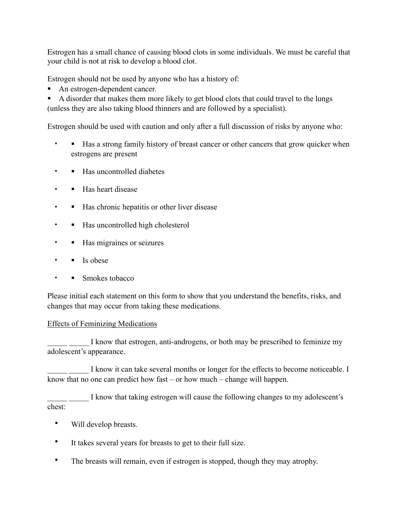Estrogen has a small chance of causing blood clots in some individuals. We must be careful that your child is not at risk to develop a blood clot.

Estrogen should not be used by anyone who has a history of:

! An estrogen-dependent cancer.

! A disorder that makes them more likely to get blood clots that could travel to the lungs (unless they are also taking blood thinners and are followed by a specialist).

Estrogen should be used with caution and only after a full discussion of risks by anyone who:

- I Has a strong family history of breast cancer or other cancers that grow quicker when estrogens are present
- • Has uncontrolled diabetes
- Has heart disease
- Has chronic hepatitis or other liver disease
- **If Has uncontrolled high cholesterol**
- Has migraines or seizures
- $\cdot$  **Is obese**
- Smokes tobacco

Please initial each statement on this form to show that you understand the benefits, risks, and changes that may occur from taking these medications.

### Effects of Feminizing Medications

I know that estrogen, anti-androgens, or both may be prescribed to feminize my adolescent's appearance.

I know it can take several months or longer for the effects to become noticeable. I know that no one can predict how fast – or how much – change will happen.

I know that taking estrogen will cause the following changes to my adolescent's chest:

- Will develop breasts.
- It takes several years for breasts to get to their full size.
- The breasts will remain, even if estrogen is stopped, though they may atrophy.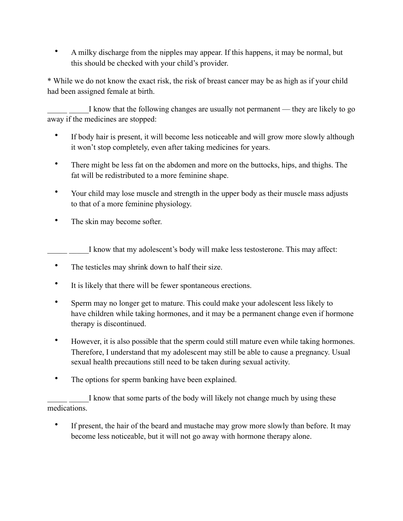• A milky discharge from the nipples may appear. If this happens, it may be normal, but this should be checked with your child's provider.

\* While we do not know the exact risk, the risk of breast cancer may be as high as if your child had been assigned female at birth.

I know that the following changes are usually not permanent — they are likely to go away if the medicines are stopped:

- If body hair is present, it will become less noticeable and will grow more slowly although it won't stop completely, even after taking medicines for years.
- There might be less fat on the abdomen and more on the buttocks, hips, and thighs. The fat will be redistributed to a more feminine shape.
- Your child may lose muscle and strength in the upper body as their muscle mass adjusts to that of a more feminine physiology.
- The skin may become softer.

I know that my adolescent's body will make less testosterone. This may affect:

- The testicles may shrink down to half their size.
- It is likely that there will be fewer spontaneous erections.
- Sperm may no longer get to mature. This could make your adolescent less likely to have children while taking hormones, and it may be a permanent change even if hormone therapy is discontinued.
- However, it is also possible that the sperm could still mature even while taking hormones. Therefore, I understand that my adolescent may still be able to cause a pregnancy. Usual sexual health precautions still need to be taken during sexual activity.
- The options for sperm banking have been explained.

I know that some parts of the body will likely not change much by using these medications.

• If present, the hair of the beard and mustache may grow more slowly than before. It may become less noticeable, but it will not go away with hormone therapy alone.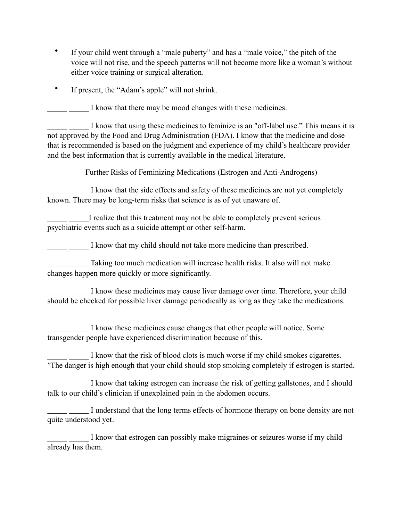- If your child went through a "male puberty" and has a "male voice," the pitch of the voice will not rise, and the speech patterns will not become more like a woman's without either voice training or surgical alteration.
- If present, the "Adam's apple" will not shrink.

I know that there may be mood changes with these medicines.

I know that using these medicines to feminize is an "off-label use." This means it is not approved by the Food and Drug Administration (FDA). I know that the medicine and dose that is recommended is based on the judgment and experience of my child's healthcare provider and the best information that is currently available in the medical literature.

## Further Risks of Feminizing Medications (Estrogen and Anti-Androgens)

I know that the side effects and safety of these medicines are not yet completely known. There may be long-term risks that science is as of yet unaware of.

I realize that this treatment may not be able to completely prevent serious psychiatric events such as a suicide attempt or other self-harm.

I know that my child should not take more medicine than prescribed.

Taking too much medication will increase health risks. It also will not make changes happen more quickly or more significantly.

I know these medicines may cause liver damage over time. Therefore, your child should be checked for possible liver damage periodically as long as they take the medications.

I know these medicines cause changes that other people will notice. Some transgender people have experienced discrimination because of this.

I know that the risk of blood clots is much worse if my child smokes cigarettes. \*The danger is high enough that your child should stop smoking completely if estrogen is started.

I know that taking estrogen can increase the risk of getting gallstones, and I should talk to our child's clinician if unexplained pain in the abdomen occurs.

I understand that the long terms effects of hormone therapy on bone density are not quite understood yet.

I know that estrogen can possibly make migraines or seizures worse if my child already has them.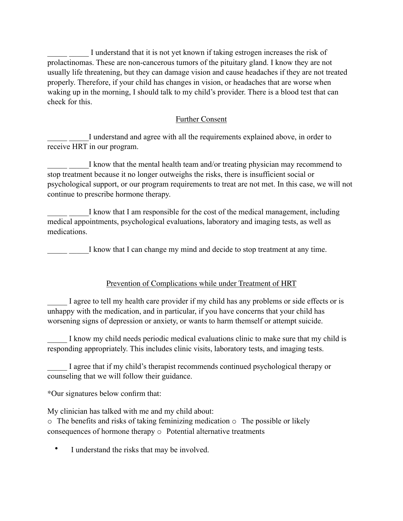I understand that it is not yet known if taking estrogen increases the risk of prolactinomas. These are non-cancerous tumors of the pituitary gland. I know they are not usually life threatening, but they can damage vision and cause headaches if they are not treated properly. Therefore, if your child has changes in vision, or headaches that are worse when waking up in the morning, I should talk to my child's provider. There is a blood test that can check for this.

## Further Consent

I understand and agree with all the requirements explained above, in order to receive HRT in our program.

I know that the mental health team and/or treating physician may recommend to stop treatment because it no longer outweighs the risks, there is insufficient social or psychological support, or our program requirements to treat are not met. In this case, we will not continue to prescribe hormone therapy.

I know that I am responsible for the cost of the medical management, including medical appointments, psychological evaluations, laboratory and imaging tests, as well as medications.

I know that I can change my mind and decide to stop treatment at any time.

# Prevention of Complications while under Treatment of HRT

I agree to tell my health care provider if my child has any problems or side effects or is unhappy with the medication, and in particular, if you have concerns that your child has worsening signs of depression or anxiety, or wants to harm themself or attempt suicide.

I know my child needs periodic medical evaluations clinic to make sure that my child is responding appropriately. This includes clinic visits, laboratory tests, and imaging tests.

I agree that if my child's therapist recommends continued psychological therapy or counseling that we will follow their guidance.

\*Our signatures below confirm that:

My clinician has talked with me and my child about: o The benefits and risks of taking feminizing medication o The possible or likely consequences of hormone therapy o Potential alternative treatments

• I understand the risks that may be involved.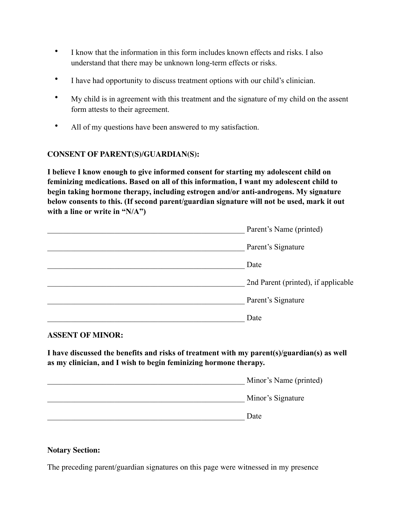- I know that the information in this form includes known effects and risks. I also understand that there may be unknown long-term effects or risks.
- I have had opportunity to discuss treatment options with our child's clinician.
- My child is in agreement with this treatment and the signature of my child on the assent form attests to their agreement.
- All of my questions have been answered to my satisfaction.

### **CONSENT OF PARENT(S)/GUARDIAN(S):**

**I believe I know enough to give informed consent for starting my adolescent child on feminizing medications. Based on all of this information, I want my adolescent child to begin taking hormone therapy, including estrogen and/or anti-androgens. My signature below consents to this. (If second parent/guardian signature will not be used, mark it out with a line or write in "N/A")**

| Parent's Name (printed)             |
|-------------------------------------|
| Parent's Signature                  |
| Date                                |
| 2nd Parent (printed), if applicable |
| Parent's Signature                  |
| Date                                |

#### **ASSENT OF MINOR:**

**I have discussed the benefits and risks of treatment with my parent(s)/guardian(s) as well as my clinician, and I wish to begin feminizing hormone therapy.** 

| Minor's Name (printed) |
|------------------------|
| Minor's Signature      |
| Date                   |

#### **Notary Section:**

The preceding parent/guardian signatures on this page were witnessed in my presence